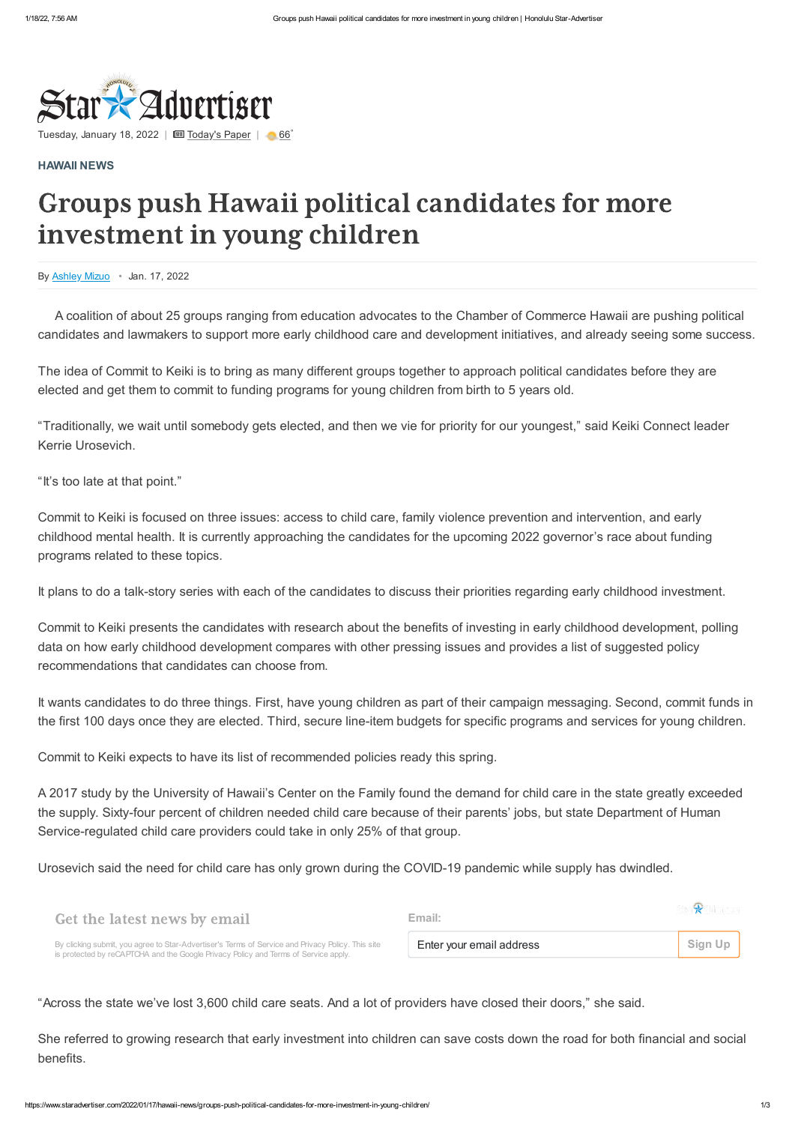

# Groups push Hawaii political candidates for more investment in young children

By [Ashley Mizuo](https://www.staradvertiser.com/author/ashleymizuo/) • Jan. 17, 2022

Tuesday, January 18, 2022 | [Today's Paper](https://www.staradvertiser.com/redirect/?redirect_to=https%3A%2F%2Fprintreplica.staradvertiser.com%2F) | [66](https://www.staradvertiser.com/hawaii-weather) °

### **[HAWAII](https://www.staradvertiser.com/category/hawaii-news/) NEWS**

A coalition of about 25 groups ranging from education advocates to the Chamber of Commerce Hawaii are pushing political candidates and lawmakers to support more early childhood care and development initiatives, and already seeing some success.

The idea of Commit to Keiki is to bring as many different groups together to approach political candidates before they are elected and get them to commit to funding programs for young children from birth to 5 years old.

"Traditionally, we wait until somebody gets elected, and then we vie for priority for our youngest," said Keiki Connect leader Kerrie Urosevich.

"It's too late at that point."

Commit to Keiki is focused on three issues: access to child care, family violence prevention and intervention, and early childhood mental health. It is currently approaching the candidates for the upcoming 2022 governor's race about funding programs related to these topics.

It plans to do a talk-story series with each of the candidates to discuss their priorities regarding early childhood investment.

Commit to Keiki presents the candidates with research about the benefits of investing in early childhood development, polling data on how early childhood development compares with other pressing issues and provides a list of suggested policy recommendations that candidates can choose from.

It wants candidates to do three things. First, have young children as part of their campaign messaging. Second, commit funds in the first 100 days once they are elected. Third, secure line-item budgets for specific programs and services for young children.

Commit to Keiki expects to have its list of recommended policies ready this spring.

A 2017 study by the University of Hawaii's Center on the Family found the demand for child care in the state greatly exceeded the supply. Sixty-four percent of children needed child care because of their parents' jobs, but state Department of Human Service-regulated child care providers could take in only 25% of that group.

Urosevich said the need for child care has only grown during the COVID-19 pandemic while supply has dwindled.

## "Across the state we've lost 3,600 child care seats. And a lot of providers have closed their doors," she said.

She referred to growing research that early investment into children can save costs down the road for both financial and social benefits.

## Get the latest news by email

By clicking submit, you agree to Star-Advertiser's Terms of [Service](https://www.staradvertiser.com/about/terms-of-service/) and [Privacy](https://www.staradvertiser.com/about/privacy-policy/) Policy. This site is protected by reCAPTCHA and the Google [Privacy](https://policies.google.com/privacy) Policy and Terms of [Service](https://policies.google.com/terms) apply.

# $\mathbb{R}$ **Email:** Enter your email address **Sign** Up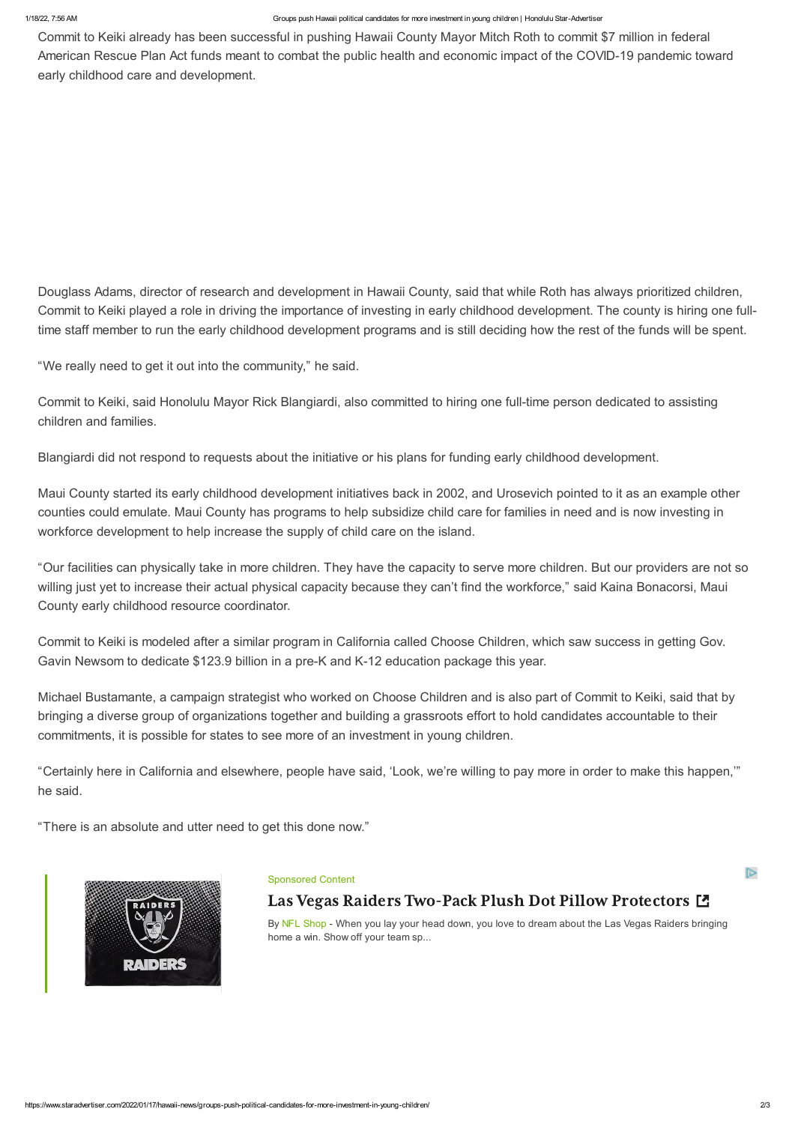#### 1/18/22, 7:56 AM Groups push Hawaii political candidates for more investment in young children | Honolulu Star-Advertiser

চি

Commit to Keiki already has been successful in pushing Hawaii County Mayor Mitch Roth to commit \$7 million in federal American Rescue Plan Act funds meant to combat the public health and economic impact of the COVID-19 pandemic toward early childhood care and development.

Douglass Adams, director of research and development in Hawaii County, said that while Roth has always prioritized children, Commit to Keiki played a role in driving the importance of investing in early childhood development. The county is hiring one fulltime staff member to run the early childhood development programs and is still deciding how the rest of the funds will be spent.

"We really need to get it out into the community," he said.

Commit to Keiki, said Honolulu Mayor Rick Blangiardi, also committed to hiring one full-time person dedicated to assisting children and families.

Blangiardi did not respond to requests about the initiative or his plans for funding early childhood development.

Maui County started its early childhood development initiatives back in 2002, and Urosevich pointed to it as an example other counties could emulate. Maui County has programs to help subsidize child care for families in need and is now investing in workforce development to help increase the supply of child care on the island.

> By NFL [Shop](https://cat.da.us.criteo.com/m/delivery/ckn.php?cppv=3&cpp=BYdH5BAIQGd4tu1q0NhwY9KctnXxQzWb5MCCjgC28jEen0nlo2Ghk1OQGmoOHT4RVjsOQU_-QAqlqTV8YwmWYh4hb3a1R41TbebpJJCz4B3bF0N7w4JC2J03jmqBJs1l57cnsB4Rh_ocMcHDSPrMeKncb_zPTn9aHrGA0dnZrYW7hMv02wm1gPyYOQTLzHJWK5bSx-7pCzkeMtKSuovVC2IXtYJ3FFnCtrtsE2QtYlIE30whoedoGwijrDQSLzFZQR8YPuksK4KnbEGdfntSzPHf2u1Ajmat867kbDhKN5PuwkWhjArYED2OjcmHMv28DhYapjF13jq3PWCkAFj-hy5uaQaEfxpjpoSLTGOKYph32ufeTCQfHyGdaXTr66qvMl2DlAT6_vnt4Amtn41I3fftDgJJAQJdB6NagJkRg0nDCJoMFlDo3RkSGPdRc6tKGsRKmZhNaom0q911_kHkNEWOnYBm7h2MOmuyoy4X7lFT4UU_QKO5m3Y2YwAa5hukRZi5ePHgYFt2GqfX155tByNAe4Una15-qFCNXI64ncU7fZ3fr9axqTdBueYK0nPqbUDHD4hLKMODrUTR-L5yxebXrII&maxdest=https%3A%2F%2Fwww.nflshop.com%2Flas_vegas_raiders_two-pack_plush_dot_pillow_protectors%2Ft-25371592%2Bo-4638%2Bd-788387606%2Bf-6975119%2Bz-9-1226214264%3Futm_medium%3Ddisplay%26_s%3Dak1955nfl-criteo%26sku%3D13888352%26utm_campaign%3DS%3DRET%7CD%3DNFLUS%7CA%3DALLUSERS%7CE%3DEVERGREEN%26utm_type%3Devergreen) - When you lay your head down, you love to dream about the Las Vegas Raiders bringing home a win. Show off your team sp...

"Our facilities can physically take in more children. They have the capacity to serve more children. But our providers are not so willing just yet to increase their actual physical capacity because they can't find the workforce," said Kaina Bonacorsi, Maui County early childhood resource coordinator.

Commit to Keiki is modeled after a similar program in California called Choose Children, which saw success in getting Gov. Gavin Newsom to dedicate \$123.9 billion in a pre-K and K-12 education package this year.

Michael Bustamante, a campaign strategist who worked on Choose Children and is also part of Commit to Keiki, said that by bringing a diverse group of organizations together and building a grassroots effort to hold candidates accountable to their commitments, it is possible for states to see more of an investment in young children.

"Certainly here in California and elsewhere, people have said, 'Look, we're willing to pay more in order to make this happen,'" he said.

"There is an absolute and utter need to get this done now."



#### [Sponsored](https://cat.da.us.criteo.com/m/delivery/ckn.php?cppv=3&cpp=BYdH5BAIQGd4tu1q0NhwY9KctnXxQzWb5MCCjgC28jEen0nlo2Ghk1OQGmoOHT4RVjsOQU_-QAqlqTV8YwmWYh4hb3a1R41TbebpJJCz4B3bF0N7w4JC2J03jmqBJs1l57cnsB4Rh_ocMcHDSPrMeKncb_zPTn9aHrGA0dnZrYW7hMv02wm1gPyYOQTLzHJWK5bSx-7pCzkeMtKSuovVC2IXtYJ3FFnCtrtsE2QtYlIE30whoedoGwijrDQSLzFZQR8YPuksK4KnbEGdfntSzPHf2u1Ajmat867kbDhKN5PuwkWhjArYED2OjcmHMv28DhYapjF13jq3PWCkAFj-hy5uaQaEfxpjpoSLTGOKYph32ufeTCQfHyGdaXTr66qvMl2DlAT6_vnt4Amtn41I3fftDgJJAQJdB6NagJkRg0nDCJoMFlDo3RkSGPdRc6tKGsRKmZhNaom0q911_kHkNEWOnYBm7h2MOmuyoy4X7lFT4UU_QKO5m3Y2YwAa5hukRZi5ePHgYFt2GqfX155tByNAe4Una15-qFCNXI64ncU7fZ3fr9axqTdBueYK0nPqbUDHD4hLKMODrUTR-L5yxebXrII&maxdest=https%3A%2F%2Fwww.nflshop.com%2Flas_vegas_raiders_two-pack_plush_dot_pillow_protectors%2Ft-25371592%2Bo-4638%2Bd-788387606%2Bf-6975119%2Bz-9-1226214264%3Futm_medium%3Ddisplay%26_s%3Dak1955nfl-criteo%26sku%3D13888352%26utm_campaign%3DS%3DRET%7CD%3DNFLUS%7CA%3DALLUSERS%7CE%3DEVERGREEN%26utm_type%3Devergreen) Content

# Las Vegas Raiders Two-Pack Plush Dot Pillow [Protectors](https://cat.da.us.criteo.com/m/delivery/ckn.php?cppv=3&cpp=BYdH5BAIQGd4tu1q0NhwY9KctnXxQzWb5MCCjgC28jEen0nlo2Ghk1OQGmoOHT4RVjsOQU_-QAqlqTV8YwmWYh4hb3a1R41TbebpJJCz4B3bF0N7w4JC2J03jmqBJs1l57cnsB4Rh_ocMcHDSPrMeKncb_zPTn9aHrGA0dnZrYW7hMv02wm1gPyYOQTLzHJWK5bSx-7pCzkeMtKSuovVC2IXtYJ3FFnCtrtsE2QtYlIE30whoedoGwijrDQSLzFZQR8YPuksK4KnbEGdfntSzPHf2u1Ajmat867kbDhKN5PuwkWhjArYED2OjcmHMv28DhYapjF13jq3PWCkAFj-hy5uaQaEfxpjpoSLTGOKYph32ufeTCQfHyGdaXTr66qvMl2DlAT6_vnt4Amtn41I3fftDgJJAQJdB6NagJkRg0nDCJoMFlDo3RkSGPdRc6tKGsRKmZhNaom0q911_kHkNEWOnYBm7h2MOmuyoy4X7lFT4UU_QKO5m3Y2YwAa5hukRZi5ePHgYFt2GqfX155tByNAe4Una15-qFCNXI64ncU7fZ3fr9axqTdBueYK0nPqbUDHD4hLKMODrUTR-L5yxebXrII&maxdest=https%3A%2F%2Fwww.nflshop.com%2Flas_vegas_raiders_two-pack_plush_dot_pillow_protectors%2Ft-25371592%2Bo-4638%2Bd-788387606%2Bf-6975119%2Bz-9-1226214264%3Futm_medium%3Ddisplay%26_s%3Dak1955nfl-criteo%26sku%3D13888352%26utm_campaign%3DS%3DRET%7CD%3DNFLUS%7CA%3DALLUSERS%7CE%3DEVERGREEN%26utm_type%3Devergreen) [4]